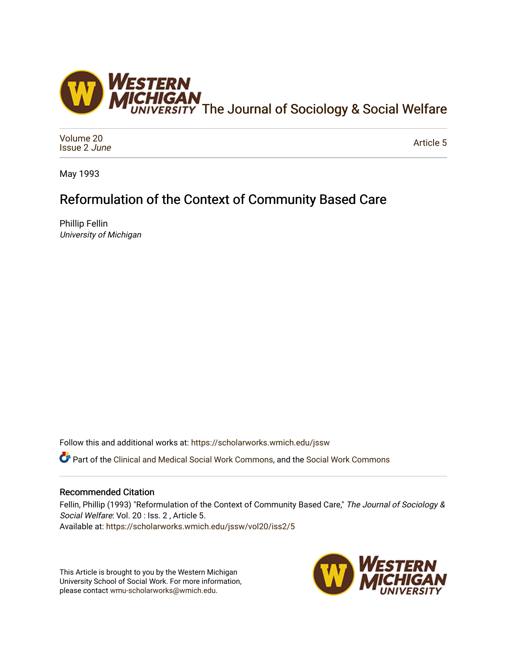

[Volume 20](https://scholarworks.wmich.edu/jssw/vol20) [Issue 2](https://scholarworks.wmich.edu/jssw/vol20/iss2) June

[Article 5](https://scholarworks.wmich.edu/jssw/vol20/iss2/5) 

May 1993

# Reformulation of the Context of Community Based Care

Phillip Fellin University of Michigan

Follow this and additional works at: [https://scholarworks.wmich.edu/jssw](https://scholarworks.wmich.edu/jssw?utm_source=scholarworks.wmich.edu%2Fjssw%2Fvol20%2Fiss2%2F5&utm_medium=PDF&utm_campaign=PDFCoverPages) 

Part of the [Clinical and Medical Social Work Commons,](http://network.bepress.com/hgg/discipline/712?utm_source=scholarworks.wmich.edu%2Fjssw%2Fvol20%2Fiss2%2F5&utm_medium=PDF&utm_campaign=PDFCoverPages) and the [Social Work Commons](http://network.bepress.com/hgg/discipline/713?utm_source=scholarworks.wmich.edu%2Fjssw%2Fvol20%2Fiss2%2F5&utm_medium=PDF&utm_campaign=PDFCoverPages)

# Recommended Citation

Fellin, Phillip (1993) "Reformulation of the Context of Community Based Care," The Journal of Sociology & Social Welfare: Vol. 20 : Iss. 2 , Article 5. Available at: [https://scholarworks.wmich.edu/jssw/vol20/iss2/5](https://scholarworks.wmich.edu/jssw/vol20/iss2/5?utm_source=scholarworks.wmich.edu%2Fjssw%2Fvol20%2Fiss2%2F5&utm_medium=PDF&utm_campaign=PDFCoverPages)

This Article is brought to you by the Western Michigan University School of Social Work. For more information, please contact [wmu-scholarworks@wmich.edu.](mailto:wmu-scholarworks@wmich.edu)

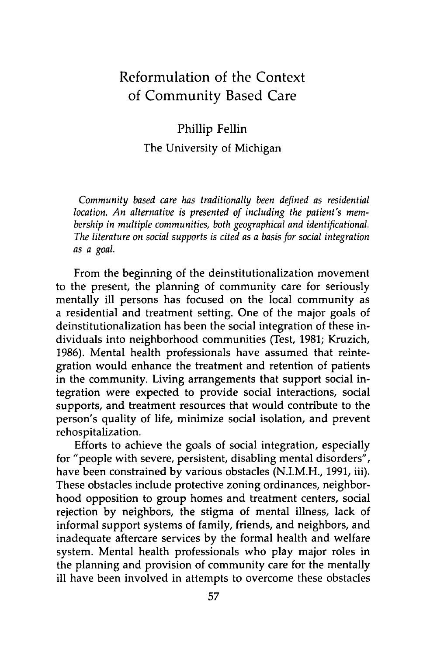# Reformulation of the Context of Community Based Care

Phillip Fellin

The University of Michigan

*Community based care has traditionally been defined as residential location. An alternative is presented of including the patient's membership in multiple communities, both geographical and identificational. The literature on social supports is cited as a basis for social integration* as a goal.

From the beginning of the deinstitutionalization movement to the present, the planning of community care for seriously mentally ill persons has focused on the local community as a residential and treatment setting. One of the major goals of deinstitutionalization has been the social integration of these individuals into neighborhood communities (Test, 1981; Kruzich, 1986). Mental health professionals have assumed that reintegration would enhance the treatment and retention of patients in the community. Living arrangements that support social integration were expected to provide social interactions, social supports, and treatment resources that would contribute to the person's quality of life, minimize social isolation, and prevent rehospitalization.

Efforts to achieve the goals of social integration, especially for "people with severe, persistent, disabling mental disorders", have been constrained by various obstacles (N.I.M.H., 1991, iii). These obstacles include protective zoning ordinances, neighborhood opposition to group homes and treatment centers, social rejection by neighbors, the stigma of mental illness, lack of informal support systems of family, friends, and neighbors, and inadequate aftercare services by the formal health and welfare system. Mental health professionals who play major roles in the planning and provision of community care for the mentally ill have been involved in attempts to overcome these obstacles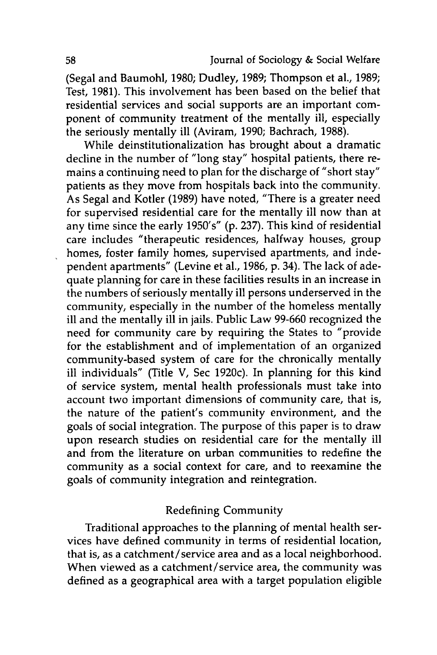(Segal and Baumohl, **1980;** Dudley, **1989;** Thompson et al., **1989;** Test, **1981).** This involvement has been based on the belief that residential services and social supports are an important component of community treatment of the mentally ill, especially the seriously mentally ill (Aviram, **1990;** Bachrach, **1988).**

While deinstitutionalization has brought about a dramatic decline in the number of "long stay" hospital patients, there remains a continuing need to plan for the discharge of "short stay" patients as they move from hospitals back into the community. As Segal and Kotler **(1989)** have noted, "There is a greater need for supervised residential care for the mentally ill now than at any time since the early 1950's" **(p. 237).** This kind of residential care includes "therapeutic residences, halfway houses, group homes, foster family homes, supervised apartments, and independent apartments" (Levine et al., **1986, p.** 34). The lack of adequate planning for care in these facilities results in an increase in the numbers of seriously mentally ill persons underserved in the community, especially in the number of the homeless mentally ill and the mentally ill in jails. Public Law **99-660** recognized the need for community care **by** requiring the States to "provide for the establishment and of implementation of an organized community-based system of care for the chronically mentally ill individuals" (Title V, Sec 1920c). In planning for this kind of service system, mental health professionals must take into account two important dimensions of community care, that is, the nature of the patient's community environment, and the goals of social integration. The purpose of this paper is to draw upon research studies on residential care for the mentally ill and from the literature on urban communities to redefine the community as a social context for care, and to reexamine the goals of community integration and reintegration.

# Redefining Community

Traditional approaches to the planning of mental health services have defined community in terms of residential location, that is, as a catchment/service area and as a local neighborhood. When viewed as a catchment/service area, the community was defined as a geographical area with a target population eligible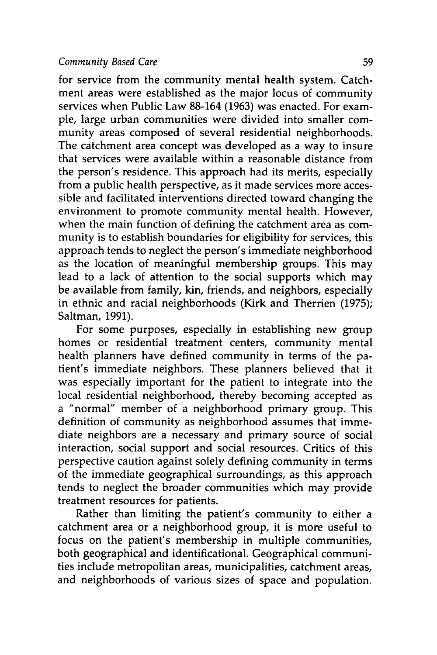#### *Community Based Care* **59**

for service from the community mental health system. Catchment areas were established as the major locus of community services when Public Law **88-164 (1963)** was enacted. For example, large urban communities were divided into smaller community areas composed of several residential neighborhoods. The catchment area concept was developed as a way to insure that services were available within a reasonable distance from the person's residence. This approach had its merits, especially from a public health perspective, as it made services more accessible and facilitated interventions directed toward changing the environment to promote community mental health. However, when the main function of defining the catchment area as community is to establish boundaries for eligibility for services, this approach tends to neglect the person's immediate neighborhood as the location of meaningful membership groups. This may lead to a lack of attention to the social supports which may be available from family, kin, friends, and neighbors, especially in ethnic and racial neighborhoods (Kirk and Therrien **(1975);** Saltman, **1991).**

For some purposes, especially in establishing new group homes or residential treatment centers, community mental health planners have defined community in terms of the patient's immediate neighbors. These planners believed that it was especially important for the patient to integrate into the local residential neighborhood, thereby becoming accepted as a "normal" member of a neighborhood primary group. This definition of community as neighborhood assumes that immediate neighbors are a necessary and primary source of social interaction, social support and social resources. Critics of this perspective caution against solely defining community in terms of the immediate geographical surroundings, as this approach tends to neglect the broader communities which may provide treatment resources for patients.

Rather than limiting the patient's community to either a catchment area or a neighborhood group, it is more useful to focus on the patient's membership in multiple communities, both geographical and identificational. Geographical communities include metropolitan areas, municipalities, catchment areas, and neighborhoods of various sizes of space and population.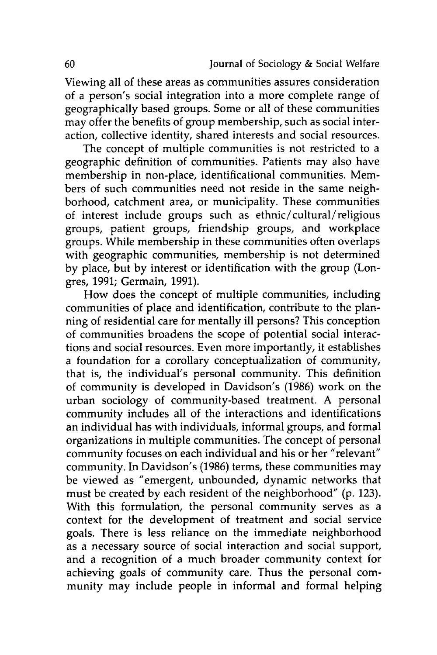Viewing all of these areas as communities assures consideration of a person's social integration into a more complete range of geographically based groups. Some or all of these communities may offer the benefits of group membership, such as social interaction, collective identity, shared interests and social resources.

The concept of multiple communities is not restricted to a geographic definition of communities. Patients may also have membership in non-place, identificational communities. Members of such communities need not reside in the same neighborhood, catchment area, or municipality. These communities of interest include groups such as ethnic/cultural/religious groups, patient groups, friendship groups, and workplace groups. While membership in these communities often overlaps with geographic communities, membership is not determined by place, but by interest or identification with the group (Longres, 1991; Germain, 1991).

How does the concept of multiple communities, including communities of place and identification, contribute to the planning of residential care for mentally ill persons? This conception of communities broadens the scope of potential social interactions and social resources. Even more importantly, it establishes a foundation for a corollary conceptualization of community, that is, the individual's personal community. This definition of community is developed in Davidson's (1986) work on the urban sociology of community-based treatment. A personal community includes all of the interactions and identifications an individual has with individuals, informal groups, and formal organizations in multiple communities. The concept of personal community focuses on each individual and his or her "relevant" community. In Davidson's (1986) terms, these communities may be viewed as "emergent, unbounded, dynamic networks that must be created by each resident of the neighborhood" (p. 123). With this formulation, the personal community serves as a context for the development of treatment and social service goals. There is less reliance on the immediate neighborhood as a necessary source of social interaction and social support, and a recognition of a much broader community context for achieving goals of community care. Thus the personal community may include people in informal and formal helping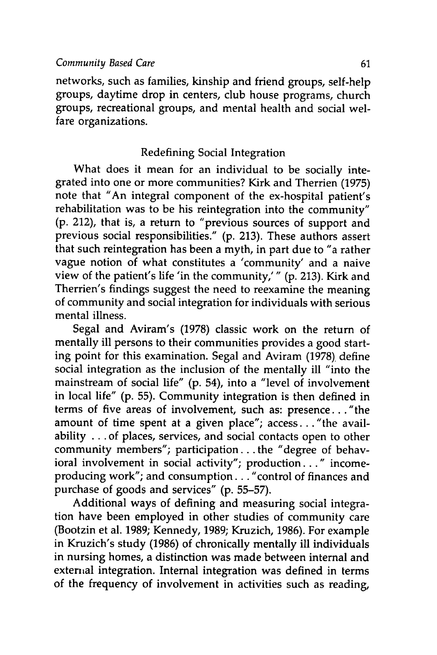networks, such as families, kinship and friend groups, self-help groups, daytime drop in centers, club house programs, church groups, recreational groups, and mental health and social welfare organizations.

## Redefining Social Integration

What does it mean for an individual to be socially integrated into one or more communities? Kirk and Therrien **(1975)** note that "An integral component of the ex-hospital patient's rehabilitation was to be his reintegration into the community" **(p.** 212), that is, a return to "previous sources of support and previous social responsibilities." **(p. 213).** These authors assert that such reintegration has been a myth, in part due to "a rather vague notion of what constitutes a 'community' and a naive view of the patient's life 'in the community,'" **(p. 213).** Kirk and Therrien's findings suggest the need to reexamine the meaning of community and social integration for individuals with serious mental illness.

Segal and Aviram's **(1978)** classic work on the return of mentally ill persons to their communities provides a good starting point for this examination. Segal and Aviram **(1978).** define social integration as the inclusion of the mentally ill "into the mainstream of social life" **(p.** 54), into a "level of involvement in local life" **(p. 55).** Community integration is then defined in terms of five areas of involvement, such as: presence. **. .**"the amount of time spent at a given place"; access. .. "the availability **...** of places, services, and social contacts open to other community members"; participation.., the "degree of behavioral involvement in social activity"; production..." incomeproducing work"; and consumption... "control of finances and purchase of goods and services" **(p. 55-57).**

Additional ways of defining and measuring social integration have been employed in other studies of community care (Bootzin et al. **1989;** Kennedy, **1989;** Kruzich, **1986).** For example in Kruzich's study **(1986)** of chronically mentally ill individuals in nursing homes, a distinction was made between internal and external integration. Internal integration was defined in terms of the frequency of involvement in activities such as reading,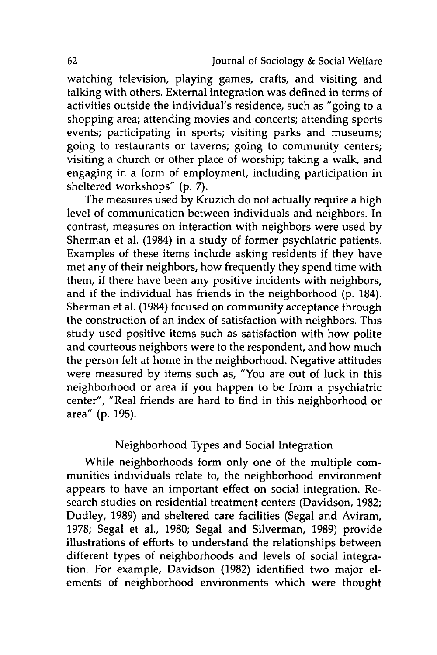watching television, playing games, crafts, and visiting and talking with others. External integration was defined in terms of activities outside the individual's residence, such as "going to a shopping area; attending movies and concerts; attending sports events; participating in sports; visiting parks and museums; going to restaurants or taverns; going to community centers; visiting a church or other place of worship; taking a walk, and engaging in a form of employment, including participation in sheltered workshops" **(p. 7).**

The measures used **by** Kruzich do not actually require a high level of communication between individuals and neighbors. In contrast, measures on interaction with neighbors were used **by** Sherman et al. (1984) in a study of former psychiatric patients. Examples of these items include asking residents if they have met any of their neighbors, how frequently they spend time with them, if there have been any positive incidents with neighbors, and if the individual has friends in the neighborhood **(p.** 184). Sherman et **al.** (1984) focused on community acceptance through the construction of an index of satisfaction with neighbors. This study used positive items such as satisfaction with how polite and courteous neighbors were to the respondent, and how much the person felt at home in the neighborhood. Negative attitudes were measured **by** items such as, "You are out of luck in this neighborhood or area if you happen to be from a psychiatric center", "Real friends are hard to find in this neighborhood or area" **(p. 195).**

# Neighborhood Types and Social Integration

While neighborhoods form only one of the multiple communities individuals relate to, the neighborhood environment appears to have an important effect on social integration. Research studies on residential treatment centers (Davidson, **1982;** Dudley, **1989)** and sheltered care facilities (Segal and Aviram, **1978;** Segal et al., **1980;** Segal and Silverman, **1989)** provide illustrations of efforts to understand the relationships between different types of neighborhoods and levels of social integration. For example, Davidson **(1982)** identified two major elements of neighborhood environments which were thought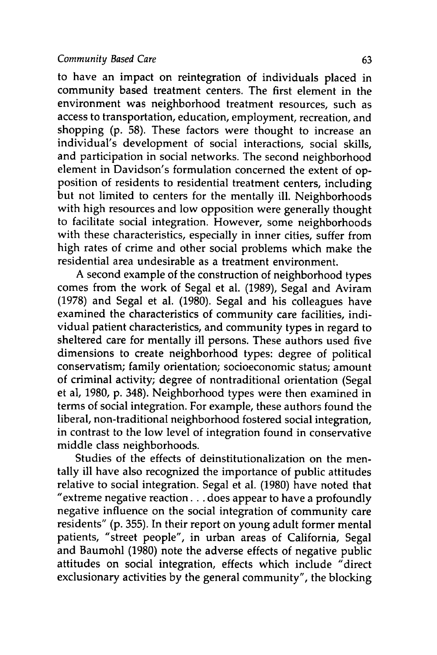#### *Community Based Care* **63**

to have an impact on reintegration of individuals placed in community based treatment centers. The first element in the environment was neighborhood treatment resources, such as access to transportation, education, employment, recreation, and shopping **(p. 58).** These factors were thought to increase an individual's development of social interactions, social skills, and participation in social networks. The second neighborhood element in Davidson's formulation concerned the extent of opposition of residents to residential treatment centers, including but not limited to centers for the mentally ill. Neighborhoods with high resources and low opposition were generally thought to facilitate social integration. However, some neighborhoods with these characteristics, especially in inner cities, suffer from high rates of crime and other social problems which make the residential area undesirable as a treatment environment.

A second example of the construction of neighborhood types comes from the work of Segal et al. **(1989),** Segal and Aviram **(1978)** and Segal et al. **(1980).** Segal and his colleagues have examined the characteristics of community care facilities, individual patient characteristics, and community types in regard to sheltered care for mentally ill persons. These authors used five dimensions to create neighborhood types: degree of political conservatism; family orientation; socioeconomic status; amount of criminal activity; degree of nontraditional orientation (Segal et al, **1980, p.** 348). Neighborhood types were then examined in terms of social integration. For example, these authors found the liberal, non-traditional neighborhood fostered social integration, in contrast to the low level of integration found in conservative middle class neighborhoods.

Studies of the effects of deinstitutionalization on the mentally ill have also recognized the importance of public attitudes relative to social integration. Segal et al. **(1980)** have noted that "extreme negative reaction **...** does appear to have a profoundly negative influence on the social integration of community care residents" **(p. 355).** In their report on young adult former mental patients, "street people", in urban areas of California, Segal and Baumohl **(1980)** note the adverse effects of negative public attitudes on social integration, effects which include "direct exclusionary activities **by** the general community", the blocking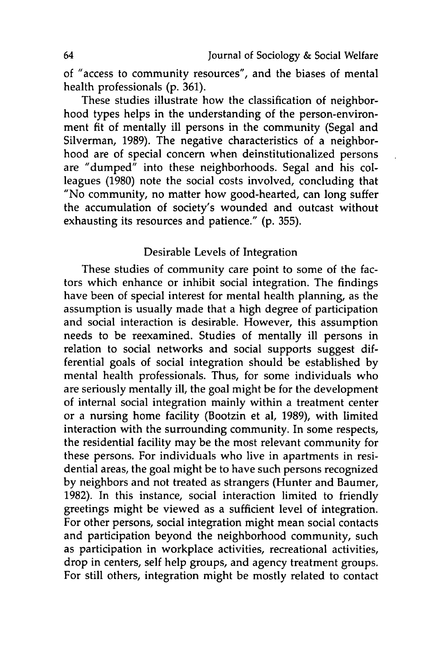of "access to community resources", and the biases of mental health professionals **(p. 361).**

These studies illustrate how the classification of neighborhood types helps in the understanding of the person-environment fit of mentally ill persons in the community (Segal and Silverman, **1989).** The negative characteristics of a neighborhood are of special concern when deinstitutionalized persons are "dumped" into these neighborhoods. Segal and his colleagues **(1980)** note the social costs involved, concluding that "No community, no matter how good-hearted, can long suffer the accumulation of society's wounded and outcast without exhausting its resources and patience." **(p. 355).**

### Desirable Levels of Integration

These studies of community care point to some of the factors which enhance or inhibit social integration. The findings have been of special interest for mental health planning, as the assumption is usually made that a high degree of participation and social interaction is desirable. However, this assumption needs to be reexamined. Studies of mentally ill persons in relation to social networks and social supports suggest differential goals of social integration should be established **by** mental health professionals. Thus, for some individuals who are seriously mentally ill, the goal might be for the development of internal social integration mainly within a treatment center or a nursing home facility (Bootzin et al, **1989),** with limited interaction with the surrounding community. In some respects, the residential facility may be the most relevant community for these persons. For individuals who live in apartments in residential areas, the goal might be to have such persons recognized **by** neighbors and not treated as strangers (Hunter and Baumer, **1982).** In this instance, social interaction limited to friendly greetings might be viewed as a sufficient level of integration. For other persons, social integration might mean social contacts and participation beyond the neighborhood community, such as participation in workplace activities, recreational activities, drop in centers, self help groups, and agency treatment groups. For still others, integration might be mostly related to contact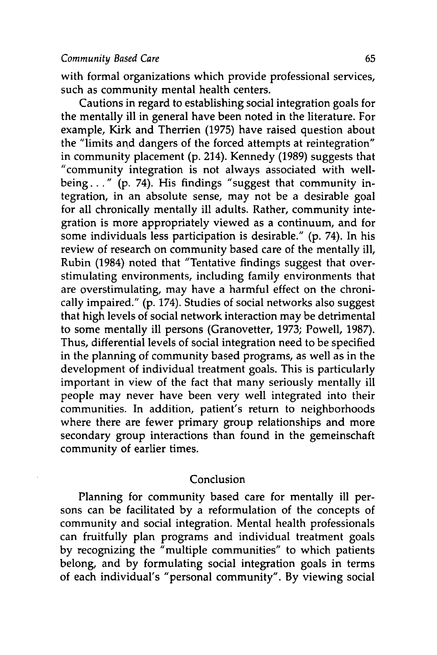with formal organizations which provide professional services, such as community mental health centers.

Cautions in regard to establishing social integration goals for the mentally ill in general have been noted in the literature. For example, Kirk and Therrien **(1975)** have raised question about the "limits **and** dangers of the forced attempts at reintegration" in community placement **(p.** 214). Kennedy **(1989)** suggests that "community integration is not always associated with wellbeing.. **." (p.** 74). His findings "suggest that community integration, in an absolute sense, may not be a desirable goal for all chronically mentally ill adults. Rather, community integration is more appropriately viewed as a continuum, and for some individuals less participation is desirable." **(p.** 74). In his review of research on community based care of the mentally ill, Rubin (1984) noted that "Tentative findings suggest that overstimulating environments, including family environments that are overstimulating, may have a harmful effect on the chronically impaired." **(p.** 174). Studies of social networks also suggest that high levels of social network interaction may be detrimental to some mentally ill persons (Granovetter, **1973;** Powell, **1987).** Thus, differential levels of social integration need to be specified in the planning of community based programs, as well as in the development of individual treatment goals. This is particularly important in view of the fact that many seriously mentally ill people may never have been very well integrated into their communities. In addition, patient's return to neighborhoods where there are fewer primary group relationships and more secondary group interactions than found in the gemeinschaft community of earlier times.

#### Conclusion

Planning for community based care for mentally ill persons can be facilitated **by** a reformulation of the concepts of community and social integration. Mental health professionals can fruitfully plan programs and individual treatment goals **by** recognizing the "multiple communities" to which patients belong, and **by** formulating social integration goals in terms of each individual's "personal community". **By** viewing social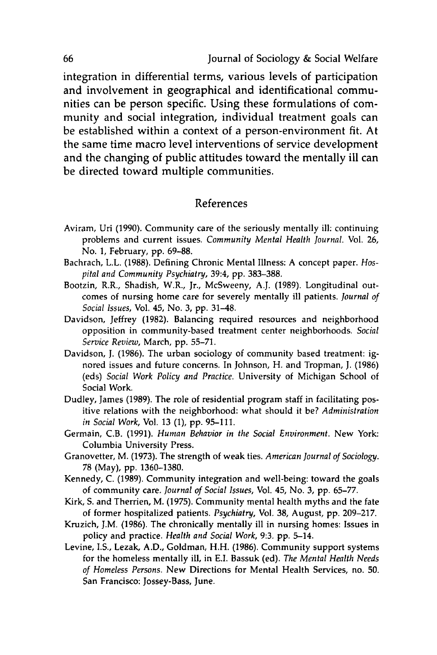integration in differential terms, various levels of participation and involvement in geographical and identificational communities can be person specific. Using these formulations of community and social integration, individual treatment goals can be established within a context of a person-environment fit. At the same time macro level interventions of service development and the changing of public attitudes toward the mentally ill can be directed toward multiple communities.

#### References

- Aviram, Uri (1990). Community care of the seriously mentally ill: continuing problems and current issues. *Community Mental Health Journal.* Vol. 26, No. **1,** February, **pp.** 69-88.
- Bachrach, L.L. **(1988).** Defining Chronic Mental Illness: A concept paper. *Hospital and Community Psychiatry,* 39:4, **pp. 383-388.**
- Bootzin, R.R., Shadish, W.R., Jr., McSweeny, **A.J. (1989).** Longitudinal outcomes of nursing home care for severely mentally ill patients. *Journal of Social Issues,* Vol. 45, No. **3, pp.** 31-48.
- Davidson, Jeffrey **(1982).** Balancing required resources and neighborhood opposition in community-based treatment center neighborhoods. *Social Service Review,* March, **pp. 55-71.**
- Davidson, **J. (1986).** The urban sociology of community based treatment: ignored issues and future concerns. In Johnson, H. and Tropman, **J. (1986)** (eds) *Social Work Policy and Practice.* University of Michigan School of Social Work.
- Dudley, James **(1989).** The role of residential program staff in facilitating positive relations with the neighborhood: what should it be? *Administration in Social Work,* Vol. **13 (1), pp. 95-111.**
- Germain, C.B. **(1991).** *Human Behavior in the Social Environment.* New York: Columbia University Press.
- Granovetter, M. **(1973).** The strength of weak ties. *American Journal of Sociology.* **78** (May), **pp. 1360-1380.**
- Kennedy, **C. (1989).** Community integration and well-being: toward the goals of community care. *Journal of Social Issues,* Vol. 45, No. **3, pp. 65-77.**
- Kirk, **S.** and Therrien, M. **(1975).** Community mental health myths and the fate of former hospitalized patients. *Psychiatry,* Vol. **38,** August, **pp. 209-217.**
- Kruzich, J.M. **(1986).** The chronically mentally ill in nursing homes: Issues in policy and practice. *Health and Social Work,* **9:3. pp.** 5-14.
- Levine, **I.S.,** Lezak, **A.D.,** Goldman, H.H. **(1986).** Community support systems for the homeless mentally ill, in **E.I.** Bassuk (ed). *The Mental Health Needs of Homeless Persons.* New Directions for Mental Health Services, no. **50.** San Francisco: Jossey-Bass, June.